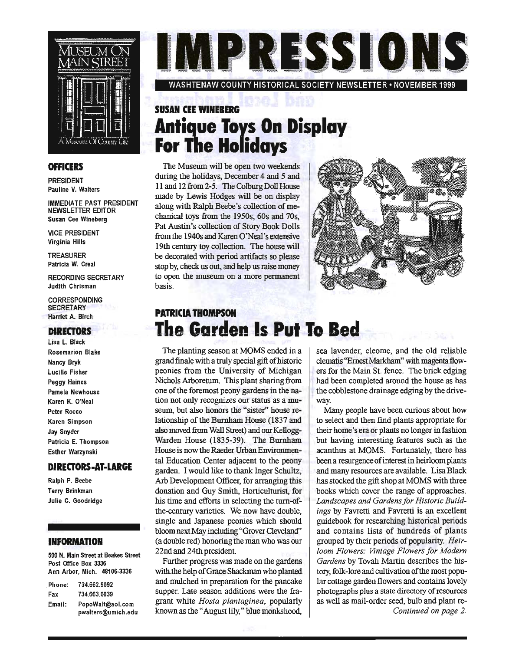

#### **OFFICERS**

PRESIDENT Pauline V. Walters

IMMEDIATE PAST PRESIDENT NEWSLETTER EDITOR Susan Cee Wineberg

VICE PRESIDENT Virginia Hills

TREASURER Patricia W. Creal

RECORDING SECRETARY Judith Chrisman

CORRESPONDING **SECRETARY** Harriet A. Birch

#### **DIRECTORS**

Lisa L Black Rosemarion Blake Nancy Bryk Lucille Fisher Peggy Haines Pamela Newhouse Karen K. O'Neal Peter Rocco Karen Simpson Jay Snyder Patricia E. Thompson Esther Warzynski

#### **DIRECTORS-AT-LARGE**

Ralph P. Beebe Terry Brinkman Julie C. Goodridge

#### **INFORMATION**

500 N. Main Street at Beakes Street Post Office Box 3336 Ann Arbor, Mich. 48106-3336

| Phone: | 734.662.9092       |
|--------|--------------------|
| Fax    | 734.663.0039       |
| Email: | PopoWalt@aol.com   |
|        | pwalters@umich.edu |

IMPRESSIONS

WASHTENAW COUNTY HISTORICAL SOCIETY NEWSLETTER· NOVEMBER 1999

### **SUSAN CEE WINEBERG Antique Toys On Display . For The Holidays** . .

The Museum will be open two weekends during the holidays, December 4 and 5 and 11 and 12 from 2-5. The Colburg Doll House made by Lewis Hodges will be on display along with Ralph Beebe's collection of mechanical toys from the 1950s, 60s and 70s, Pat Austin's collection of Story Book Dolls from the 1940s and Karen O'Neal's extensive 19th century toy collection. The house will be decorated with period artifacts so please stop by, check us out, and help us raise money to open the museum on a more permanent basis.



### **PATRICIA THOMPSON The Garden Is Put To Bed**

The planting season at MOMS ended in a grand finale with a truly special gift of historic peonies from the University of Michigan Nichols Arboretum. This plant sharing from one of the foremost peony gardens in the nation not only recognizes our status as a museum, but also honors the "sister" house relationship of the Burnham House (1837 and also moved from Wall Street) and our Kellogg-Warden House (1835-39). The Burnham House is now the Raeder Urban Environmental Education Center adjacent to the peony garden. I would like to thank Inger Schultz, Arb Development Officer, for arranging this donation and Guy Smith, Horticulturist, for his time and efforts in selecting the turn-ofthe-century varieties. We now have double, single and Japanese peonies which should bloom next May including "Grover Cleveland" (a double red) honoring the man who was our 22nd and 24th president.

Further progress was made on the gardens with the help of Grace Shackman who planted and mulched in preparation for the pancake supper. Late season additions were the fragrant white *Hosta plantaginea,* popularly known as the "August lily," blue monkshood,

sea lavender, cleome, and the old reliable clematis "Ernest Markham" with magenta flowers for the Main St. fence. The brick edging had been completed around the house as has the cobblestone drainage edging by the driveway.

Many people have been curious about how to select and then find plants appropriate for their home's era or plants no longer in fashion but having interesting features such as the acanthus at MOMS. Fortunately, there has been a resurgence of interest in heirloom plants and many resources are available. Lisa Black has stocked the gift shop at MOMS with three books which cover the range of approaches. *Landscapes and Gardens for Historic Buildings* by Favretti and Favretti is an excellent guidebook for researching historical periods and contains lists of hundreds of plants grouped by their periods of popularity. *Heirloom Flowers: Vintage Flowers for Modern Gardens* by Tovah Martin describes the history, folk-lore and cultivation of the most popular cottage garden flowers and contains lovely photographs plus a state directory of resources as well as mail-order seed, bulb and plant re-*Continued on page* 2.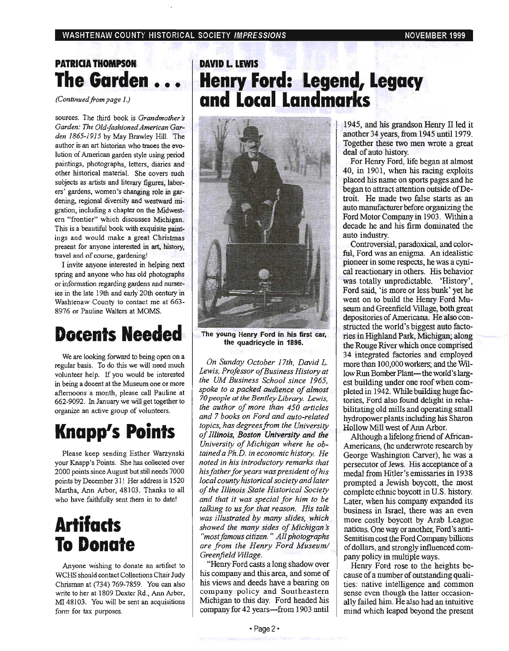### **PATRICIA THOMPSON The Garden** • • •

*(Continued from page 1.)* 

sources. The third book is *Grandmother s Garden: The Old-fashioned American Garden* 1865-1915 by May Brawley Hill. The author is an art historian who traces the evolution of American garden style using period paintings, photographs, letters, diaries and other historical material. She covers such subjects as artists and literary figures, laborers' gardens, women's changing role in gardening, regional diversity and westward migration, including a chapter on the Midwestern "frontier" which discusses Michigan. This is a beautiful book with exquisite paintings and would make a great Christmas present for anyone interested in art, history, travel and of course, gardening!

I invite anyone interested in helping next spring and anyone who has old photographs or information regarding gardens and nurseries in the late 19th and early 20th century in Washtenaw County to contact me at 663-8976 or Pauline Walters at MOMS.

# **Docents Needed**

We are looking forward to being open on a regular basis. To do this we will need much volunteer help. If you would be interested in being a docent at the Museum one or more afternoons a month, please call Pauline at 662-9092. In January we will get together to organize an active group of volunteers.

# **Knapp's Points**

Please keep sending Esther Warzynski your Knapp's Points. She has collected over 2000 points since August but stilI needs 7000 points by December 31! Her address is 1520 Martha, Ann Arbor, 48103 . Thanks to all who have faithfully sent them in to date!

# **Artifacts To Donate**

Anyone wishing to donate an artifact to WCHS should contact Collections Chair Judy Chrisman at (734) 769-7859. You can also write to her at 1809 Dexter Rd., Ann Arbor, MI 48103. You will be sent an acquisitions form for tax purposes.

### **DAVID L. LEWIS Henry Ford: legend, legacy and local landmarks** . .



The young Henry Ford in his first car, the quadricycle in 1896.

*On Sunday October 17th, David L. Lewis, Professor of Business History at the UM Business School since 1965, spoke to a packed audience of almost 70 people at the Bentley Library. Lewis, the author of more than 450 articles and* 7 *books on Ford and auto-related topics, has degrees from the University of Illinois, Boston University and the University of Michigan where he obtained a Ph.D. in economic history. He noted in his introductory remarks that his father for years was president of his local county historical SOCiety and later of the Illinois State Historical Society and that it was special for him to be talking to us for that reason. His talk was illustrated by many slides, which*  showed the many sides of Michigan's *"most famous citizen.* " *All photographs are from the Henry Ford Museum/ Greenfield Village.* 

"Heruy Ford casts a long shadow over his company and this area, and some of his views and deeds have a bearing on company policy and Southeastern Michigan to this day. Ford headed his company for 42 years---from 1903 until

1945, and his grandson Henry  $\Pi$  led it another 34 years, from 1945 until 1979. Together these two men wrote a great deal of auto history.

For Henry Ford, life began at almost 40, in 1901, when his racing exploits placed his name on sports pages and he began to attract attention outside of Detroit. He made two false starts as an auto manufacturer before organizing the Ford Motor Company in 1903. Withina decade he and his firm dominated the auto industry.

Controversial, paradoxical, and colorful, Ford was an enigma. An idealistic pioneer in some respects, he was a cynical reactionary in others. His behavior was totally unpredictable. 'History', Ford said, 'is more or less bunk' yet he went on to build the Henry Ford Museum and Greenfield Village, both great depositories of Americana. He also constructed the world's biggest auto facto ries in Highland Park, Michigan; along the Rouge River which once comprised 34 integrated factories and employed more than 100,000 workers; and the Wlllow Run Bomber Plant-- the world's largest building under one roof when completed in 1942. While building huge factories, Ford also found delight in rehabilitating old mills and operating small hydropower plants including his Sharon Hollow Mill west of Ann Arbor.

Although a lifelong friend of African-Americans, (he underwrote research by George Washington Carver), he was a persecutor of Jews. His acceptance of a medal from Hitler's emissaries in 1938 prompted a Jewish boycott, the most complete ethnic boycott in U.S. history. Later, when his company expanded its business in Israel, there was an even more costly boycott by Arab League nations. One way or another, Ford's anti-Semitism cost the Ford Company billions of dollars, and strongly influenced company policy in multiple ways.

Henry Ford rose to the heights because of a number of outstanding qualities: native intelligence and common sense even though the latter occasionally failed him. He also had an intuitive mind which leaped beyond the present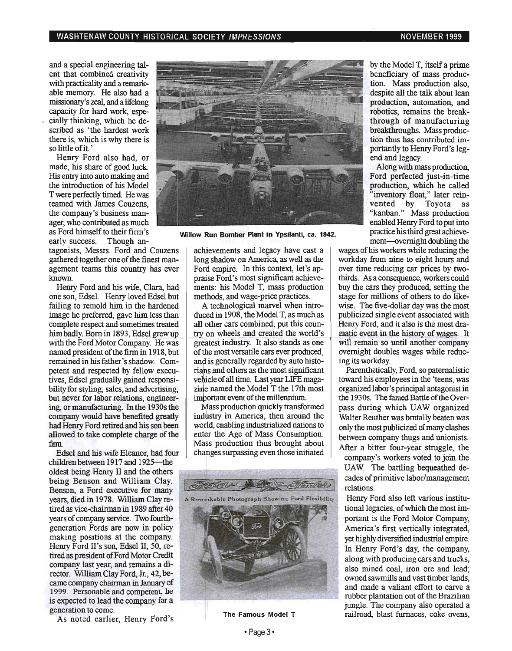#### WASHTENAW COUNTY HISTORICAL SOCIETY IMPRESSIONS NOTED THE RESOLUTION OF A RESOLUTION OF A RESOLUTION OF A RESOLUTION OF A RESOLUTION OF A RESOLUTION OF A RESOLUTION OF A RESOLUTION OF A RESOLUTION OF A RESOLUTION OF A RESO

and a special engineering talent that combined creativity 'with practicality and a remarkable memory. He also had a missionary's zeal, and a lifelong capacity for hard work, espe cially thinking, which he described as 'the hardest work there is, which is why there is so little of it. '

Henry Ford also had, or made, his share of good luck. His entry into auto making and the introduction of his Model T were perfectly timed. He was teamed with James Couzens, the company's business manager, who contributed as much as Ford himself to their firm's early success. Though an-

tagonists, Messrs. Ford and Couzens gathered together one of the finest management teams this country has ever known.

Henry Ford and his wife, Clara, had one son, Edsel. Henry loved Edsel but failing to remold him in the hardened image he preferred, gave him less than complete respect and sometimes treated himbadly. Born in 1893, Edsel grew up with the Ford Motor Company. He was named president of the firm in 1918, but remained in his father's shadow. Competent and respected by fellow executives, Edsel gradually gained responsibility for styling, sales, and advertising, but never for labor relations, engineering, or manufacturing. In the 1930s the company would have benefited greatly had Henry Ford retired and his son been allowed to take complete charge of the firm.

Edsel and his wife Eleanor, had four children between 1917 and 1925-the oldest being Henry II and the others being Benson and William Clay. Benson, a Ford executive for many years, died in 1978. William Clay retired as vice-chairman in 1989 after 40 years of company service. Two fourthgeneration Fords are now in policy making positions at the company. Henry Ford II's son, Edsel II, 50, retired as president of Ford Motor Credit company last year, and remains a director. William Clay Ford, Jr., 42, became company chairman in January of 1999. Personable and competent, he is expected to lead the company for a generation to come.

As noted earlier, Henry Ford's



Willow Run Bomber Plant in YpSilanti, ca. 1942.

achievements and legacy have cast a long shadow on America, as well as the Ford empire. In this context, let's appraise Ford's most significant achievements: his Model T, mass production methods, and wage-price practices.

A technological marvel when introduced in 1908, the Model T, as much as all other cars combined, put this country on wheels and created the world's greatest industry. It also stands as one of the most versatile cars ever produced, and is generally regarded by auto historians and others as the most significant greatest industry. It also stands as one<br>of the most versatile cars ever produced,<br>and is generally regarded by auto histo-<br>rians and others as the most significant<br>vehicle of all time. Last year LIFE maga-<br>zine named the zine named the Model T the 17th most important event of the millennium.

Mass production quickly transformed industry in America, then around the world, enabling industrialized nations to enter the Age of Mass Consumption. Mass production thus brought about changes surpassing even those initiated



The Famous Model T

by the Model T, itself a prime beneficiary of mass production. Mass production also, despite all the talk about lean production, automation, and robotics, remains the breakthrough of manufacturing breakthroughs. Mass production thus has contributed importantly to Henry Ford's legend and legacy.

Along with mass production, Ford perfected just-in-time production, which he called "inventory float," later reinvented by Toyota as "kanban." Mass production enabled Henry Ford to put into practice his third great achievement-overnight doubling the

wages of his workers while reducing the workday from nine to eight hours and over time reducing car prices by twothirds. As a consequence, workers could buy the cars they produced, setting the stage for millions of others to do likewise. The five-dollar day was the most publicized single event associated with Henry Ford, and it also is the most dramatic event in the history of wages. It will remain so until another company overnight doubles wages while reducing its workday.

Parenthetically, Ford, so paternalistic toward his employees in the 'teens, was organized labor's principal antagonist in the 1930s. The famed Battle of the Overpass during which UAW organized Walter Reuther was brutally beaten was only the most publicized of many clashes between company thugs and unionists. After a bitter four-year struggle, the

company's workers voted to join the UAW. The battling bequeathed decades of primitive labor/management relations.

Henry Ford also left various institutional legacies, of which the most important is the Ford Motor Company, America's first vertically integrated, yet highly diversified industrial empire. In Henry Ford's day, the company, along with producing cars and trucks, also mined coal, iron ore and lead; owned sawmills and vast timber lands, and made a valiant effort to carve a rubber plantation out of the Brazilian jungle. The company also operated a railroad, blast furnaces, coke ovens,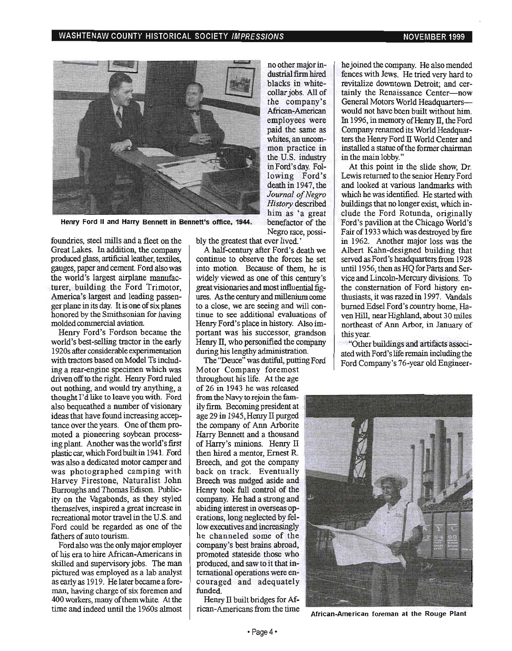

Henry Ford II and Harry Bennett in Bennett's office, 1944.

foundries, steel mills and a fleet on the Great Lakes. In addition, the company produced glass, artificial leather, textiles, gauges, paper and cement Ford also was the world's largest airplane manufacturer, building the Ford Trimotor, America's largest and leading passenger plane in its day. It is one of six planes honored by the Smithsonian for having molded commercial aviation.

Henry Ford's Fordson became the world's best-selling tractor in the early 1920s after considerable experimentation with tractors based on Model Ts including a rear-engine specimen which was driven off to the right. Henry Ford ruled out nothing, and would try anything, a thought 1'd like to leave you with. Ford also bequeathed a number of visionary ideas that have found increasing acceptance over the years. One of them promoted a pioneering soybean processing plant. Another was the world's first plastic car, which Ford built in 1941. Ford was also a dedicated motor camper and was photographed camping with Harvey Firestone, Naturalist John Burroughs and Thomas Edison. Publicity on the Vagabonds, as they styled themselves, inspired a great increase in recreational motor travel in the U.S. and Ford could be regarded as one of the fathers of auto tourism.

Ford also was the only major employer of his era to hire African-Americans in skilled and supervisory jobs. The man pictured was employed as a lab analyst as early as 1919. He later became a foreman, having charge of six foremen and 400 workers, many of them white. At the time and indeed until the 1960s almost bly the greatest that ever lived. '

A half-century after Ford's death we continue to observe the forces he set into motion. Because of them, he is widely viewed as one of this century's great visionaries and most influential figures. As the century and millenium come to a close, we are seeing and will continue to see additional evaluations of Henry Ford's place in history. Also important was his successor, grandson Henry II, who personified the company during his lengthy administration.

no other major industrial firm hired blacks in whitecollar jobs. All of the company's African-American employees were paid the same as whites, an uncommon practice in the U.S. industry inFord'sday. Following Ford's death in 1947, the *Journal of Negro History* described him as 'a great

Negro race, possi-

The "Deuce" was dutiful, putting Ford Motor Company foremost throughout his life. At the age of 26 in 1943 he was released from the Navy to rejoin the family:firm. Becoming president at age 29 in 1945, Henry II purged the company of Ann Arborite Harry Bennett and a thousand of Harry's minions. Henry II then hired a mentor, Ernest R. Breech, and got the company back on track. Eventually Breech was nudged aside and Henry took full control of the company. He had a strong and abiding interest in overseas operations, long neglected by fellow executives and increasingly he channeled some of the company's best brains abroad, promoted stateside those who produced, and saw to it that international operations were encouraged and adequately funded.

Henry II built bridges for Af-

he joined the company. He also mended fences with Jews. He tried very hard to revitalize downtown Detroit; and certainly the Renaissance Center-now General Motors World Headquarterswould not have been built without him. In 1996, in memory of Henry II, the Ford Company renamed its World Headquarters the Henry Ford II World Center and installed a statue of the former chairman in the main lobby. "

At this point in the slide show, Dr. Lewis returned to the senior Henry Ford and looked at various landmarks with which he was identified. He started with buildings that no longer exist, which include the Ford Rotunda, originally Ford's pavilion at the Chicago World's Fair of 1933 which was destroyed by fire in 1962. Another major loss was the Albert Kahn-designed building that served as Ford's headquarters from 1928 until 1956, then as HQ for Parts and Service and Lincoln-Mercury divisions. To the consternation of Ford history enthusiasts, it was razed in 1997. Vandals burned Edsel Ford's country home, Haven Hill, near Highland, about 30 miles northeast of Ann Arbor, in January of this year.

"Other buildings and artifacts associated with Ford's life remain including the Ford Company's 76-year old Engineer-



rican-Americans from the time African-American foreman at the Rouge Plant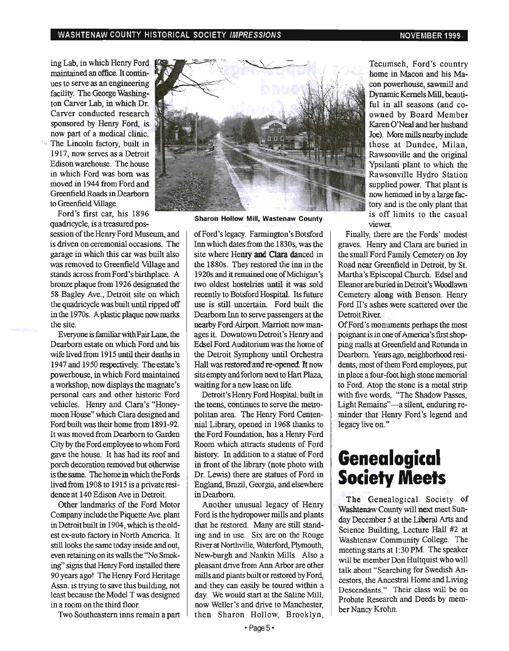ing Lab, in which Henry Ford maintained an office. It continues to serve as an engineering facility. The George Washington Carver Lab, in which Dr. Carver conducted research sponsored by Henry Ford, is now part of a medical clinic. ' . The Lincoln factory, built in 1917, now serves as a Detroit Edison warehouse. The house in which Ford was born was moved in 1944 from Ford and Greenfield Roads in Dearborn to Greenfield Village.

Ford's first car, his 1896 quadricycle, is a treasured pos-

session of the Henry Ford Museum, and is driven on ceremonial occasions. The garage in which this car was built also was removed to Greenfield Village and stands across from Ford's birthplace. A bronze plaque from 1926 designated the 58 Bagley Ave., Detroit site on which the quadricycle was built until ripped off in the 1970s. A plastic plaque now marks the site.

Everyone is familiar with Fair Lane, the Dearborn estate on which Ford and his wife lived from 1915 until their deaths in 1947 and 1950 respectively. The estate's powerhouse, in which Ford maintained a workshop, now displays the magnate's personal cars and other historic Ford vehicles. Henry and Clara's "Honeymoon House" which Clara designed and Ford built was their home from 1891-92. It was moved from Dearborn to Garden City by the Ford employee to whom Ford gave the house. It has had its roof and porch decoration removed but otherwise is the same. The home in which the Fords lived from 1908 to 1915 is a private resi· dence at 140 Edison Ave in Detroit.

Other landmarks of the Ford Motor Company include the Piquette Ave. plant in Detroit built in 1904, which is the oldest ex-auto factory in North America It still looks the same today inside and out, even retaining on its walls the "No Smoking" signs that Henry Ford instalfed there 90 years ago! The Henry Ford Heritage Assn. is trying to save this building, not least because the Model T was designed in a room on the third floor.

Two Southeastern inns remain a part



Sharon Hollow Mill, Wastenaw County

ofFord's legacy. Farmington's Botsford Inn which dates.from the 1830s, was the site where Henry and Clara danced in the 1880s. They restored the inn in the 1920s and it remained one of Michigan's two oldest hostelries until it was sold recently to Botsford Hospital. Its future use is still uncertain. Ford built the Dearborn Inn to serve passengers at the nearby Ford Airport. Marriott now manages it. Downtown Detroit's Henry and Edsel Ford Auditorium was the home of the Detroit Symphony until Orchestra Hall was restored and re-opened. It now sits empty and forlorn next to Hart Plaza, waiting for a new lease on life.

Detroit's Henry Ford Hospital, built in the teens, continues to serve the metropolitan area. The Henry Ford Centennial Library, opened in 1968 thanks to the Ford Foundation, has a Henry Ford Room which attracts students of Ford history. In addition to a statue of Ford in front of the library (note photo with Dr. Lewis) there are statues of Ford in England, Brazil, Georgia, and elsewhere in Dearbom

Another unusual legacy of Henry Ford is the hydropower mills and plants that he restored. Many are still standing and in use. Six are on the Rouge River at Northville, Waterford, Plymouth, New-burgh and Nankin Mills. Also a pleasant drive from Ann Arbor are other mills and plants built or restored by Ford, and they can easily be toured within a day. We would start at the Saline Mill, now Weller's and drive to Manchester, then Sharon Hollow, Brooklyn,

Tecumseh, Ford's country home in Macon and his Macori powerhouse, sawmill and Dynamic Kernels Mill, beautiful in all seasons (and coowned by Board Member Karen O'Neal and her husband Joe). More mills nearby include those at Dundee, Milan, Rawsonville and the original Ypsilanti plant to which the Rawsonville Hydro Station supplied power. That plant is now hemmed in by a large factory and is the only plant that is off limits to the casual viewer.

Finally, there are the Fords' modest graves. Henry and Clara are buried in the small Ford Family Cemetery on Joy Road near Greenfield in Detroit, by St Martha's Episcopal Church. Edsel and Eleanor are buried in Detroit's Woodlawn Cemetery along with Benson. Henry Ford II's ashes were scattered over the Detroit River.

OfFord's monuments perhaps the most poignant is in one of America's first shopping malls at Greenfield and Rotunda in Dearborn. Years ago, neighborhood residents, most of them Ford employees, put in place a four-foot high stone memorial to Ford. Atop the stone is a metal strip with five words, "The Shadow Passes, Light Remains"-a silent, enduring reminder that Henry Ford's legend and legacy live on."

## **Genealogical Society Meets**

The Genealogical Society of Washtenaw County will next meet Sunday December 5 at the Liberal Arts and Science Building, Lecture Hall #2 at Washtenaw Community College. The meeting starts at 1:30 PM. The speaker will be member Don Hultquist who will talk about "Searching for Swedish Ancestors, the Ancestral Home and Living Descendants." Their class will be on Probate Research and Deeds by member Nancy Krohn.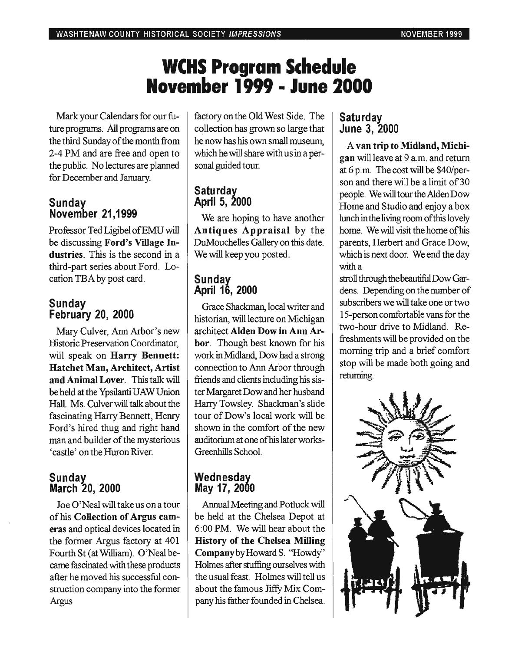# **WCHS Program Schedule November 1999 • June 2000**

Mark your Calendars for our future programs. All programs are on the third Sunday of the month from 2-4 PM and are free and open to the public. No lectures are planned for December and January.

#### **Sunday November 21,1999**

Professor Ted Ligibel ofEMU will be discussing Ford's Village Industries. This is the second in a third-part series about Ford. Location TBA by post card.

### **Sunday February** 20, **2000**

Mary Culver, Ann Arbor's new Historic Preservation Coordinator, will speak on Harry Bennett: Hatchet Man, Architect, Artist and Animal Lover. This talk will be held at the Ypsilanti UAWUnion Hall. Ms. Culver will talk about the fascinating Harry Bennett, Henry Ford's hired thug and right hand man and builder of the mysterious 'castle' on the Huron River.

### **Sunday March** 20, **2000**

Joe O'Neal will take us on a tour of his Collection of Argus cameras and optical devices located in the former Argus factory at 401 Fourth St (at William). O'Neal became fascinated with these products after he moved his successful construction company into the former Argus

factory on the Old West Side. The collection has grown so large that he now has his own small museum, which he will share with us in a personal guided tour.

### **Saturday April 5, 2000**

We are hoping to have another Antiques Appraisal by the DuMouchelles Gallery on this date. We will keep you posted.

### **Sunday April** 16, **2000**

Grace Shackman, local writer and historian, will lecture on Michigan architect Alden Dow in Ann Arbor. Though best known for his work in Midland, Dow had a strong connection to Ann Arbor through friends and clients including his sister Margaret Dow and her husband Harry Towsley. Shackman's slide tour of Dow's local work will be shown in the comfort of the new auditorium at one ofhis later works-Greenhills School.

### **Wednesday May** 17, **2000**

Annual Meeting and Potluck will be held at the Chelsea Depot at 6:00 PM. We will hear about the History of the Chelsea Milling Company by Howard S. ''Howdy'' Holmes after stuffing ourselves with the usual feast. Holmes will tell us about the famous Jiffy Mix Company his father founded in Chelsea.

### **Saturday June 3, 2000**

A van trip to Midland, Michigan will leave at 9 a.m. and return at 6 p.m. The cost will be \$40/person and there will be a limit of 30 people. We will tour the Alden Dow Home and Studio and enjoy a box lunch in the living room of this lovely home. We will visit the home of his parents, Herbert and Grace Dow, which is next door. We end the day with a

stroll through the beautiful Dow Gardens. Depending on the number of subscribers we will take one or two IS-person comfortable vans for the two-hour drive to Midland. Refreshments will be provided on the morning trip and a brief comfort stop will be made both going and returning.